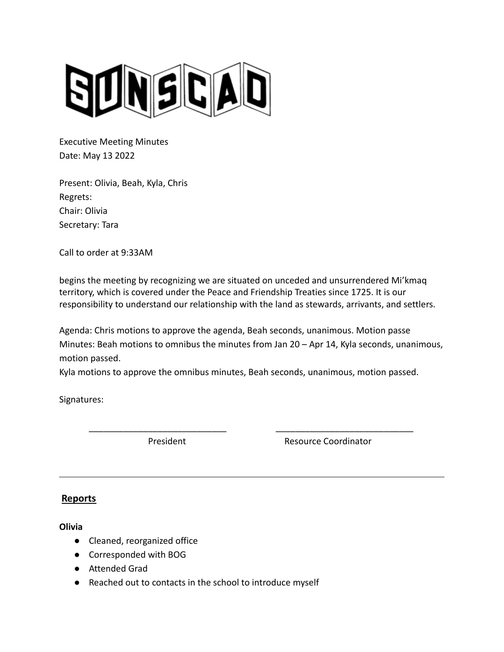

Executive Meeting Minutes Date: May 13 2022

Present: Olivia, Beah, Kyla, Chris Regrets: Chair: Olivia Secretary: Tara

Call to order at 9:33AM

begins the meeting by recognizing we are situated on unceded and unsurrendered Mi'kmaq territory, which is covered under the Peace and Friendship Treaties since 1725. It is our responsibility to understand our relationship with the land as stewards, arrivants, and settlers.

Agenda: Chris motions to approve the agenda, Beah seconds, unanimous. Motion passe Minutes: Beah motions to omnibus the minutes from Jan 20 – Apr 14, Kyla seconds, unanimous, motion passed.

\_\_\_\_\_\_\_\_\_\_\_\_\_\_\_\_\_\_\_\_\_\_\_\_\_\_\_\_ \_\_\_\_\_\_\_\_\_\_\_\_\_\_\_\_\_\_\_\_\_\_\_\_\_\_\_\_

Kyla motions to approve the omnibus minutes, Beah seconds, unanimous, motion passed.

Signatures:

President **Resource Coordinator** 

# **Reports**

**Olivia**

- Cleaned, reorganized office
- Corresponded with BOG
- Attended Grad
- Reached out to contacts in the school to introduce myself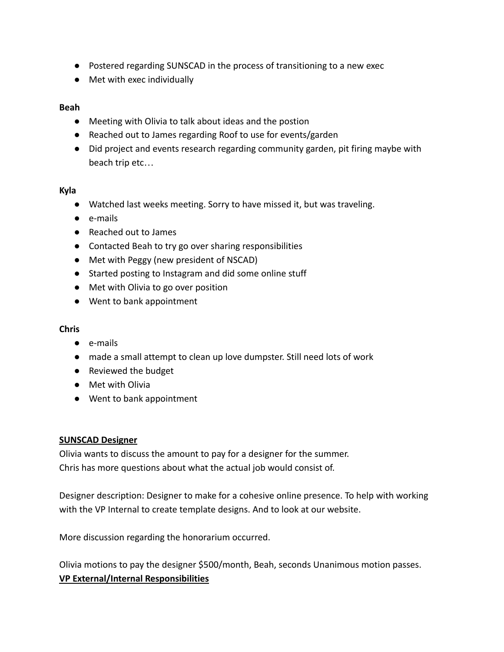- Postered regarding SUNSCAD in the process of transitioning to a new exec
- Met with exec individually

## **Beah**

- Meeting with Olivia to talk about ideas and the postion
- Reached out to James regarding Roof to use for events/garden
- Did project and events research regarding community garden, pit firing maybe with beach trip etc…

## **Kyla**

- Watched last weeks meeting. Sorry to have missed it, but was traveling.
- e-mails
- Reached out to James
- Contacted Beah to try go over sharing responsibilities
- Met with Peggy (new president of NSCAD)
- Started posting to Instagram and did some online stuff
- Met with Olivia to go over position
- Went to bank appointment

# **Chris**

- e-mails
- made a small attempt to clean up love dumpster. Still need lots of work
- Reviewed the budget
- Met with Olivia
- Went to bank appointment

## **SUNSCAD Designer**

Olivia wants to discuss the amount to pay for a designer for the summer. Chris has more questions about what the actual job would consist of.

Designer description: Designer to make for a cohesive online presence. To help with working with the VP Internal to create template designs. And to look at our website.

More discussion regarding the honorarium occurred.

Olivia motions to pay the designer \$500/month, Beah, seconds Unanimous motion passes. **VP External/Internal Responsibilities**